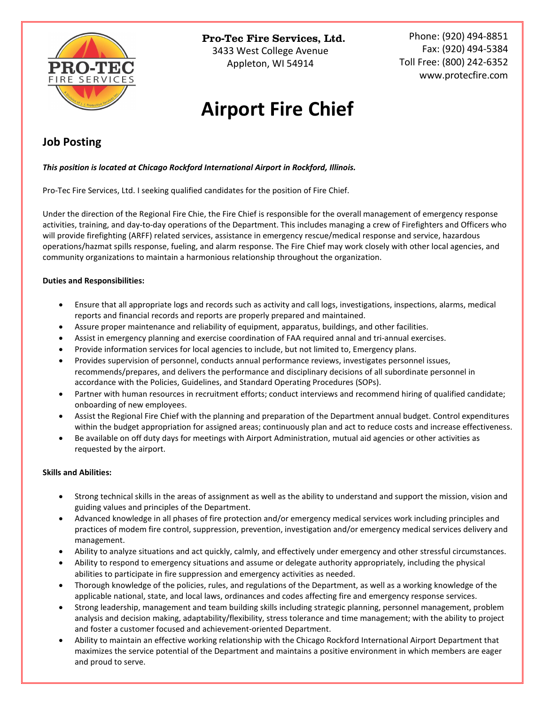

Pro-Tec Fire Services, Ltd.

3433 West College Avenue Appleton, WI 54914

Phone: (920) 494-8851 Fax: (920) 494-5384 Toll Free: (800) 242-6352 [www.protecfire.com](http://www.protecfire.com/)

# **Airport Fire Chief**

## **Job Posting**

*This position is located at Chicago Rockford International Airport in Rockford, Illinois.*

Pro-Tec Fire Services, Ltd. I seeking qualified candidates for the position of Fire Chief.

Under the direction of the Regional Fire Chie, the Fire Chief is responsible for the overall management of emergency response activities, training, and day-to-day operations of the Department. This includes managing a crew of Firefighters and Officers who will provide firefighting (ARFF) related services, assistance in emergency rescue/medical response and service, hazardous operations/hazmat spills response, fueling, and alarm response. The Fire Chief may work closely with other local agencies, and community organizations to maintain a harmonious relationship throughout the organization.

### **Duties and Responsibilities:**

- Ensure that all appropriate logs and records such as activity and call logs, investigations, inspections, alarms, medical reports and financial records and reports are properly prepared and maintained.
- Assure proper maintenance and reliability of equipment, apparatus, buildings, and other facilities.
- Assist in emergency planning and exercise coordination of FAA required annal and tri-annual exercises.
- Provide information services for local agencies to include, but not limited to, Emergency plans.
- Provides supervision of personnel, conducts annual performance reviews, investigates personnel issues, recommends/prepares, and delivers the performance and disciplinary decisions of all subordinate personnel in accordance with the Policies, Guidelines, and Standard Operating Procedures (SOPs).
- Partner with human resources in recruitment efforts; conduct interviews and recommend hiring of qualified candidate; onboarding of new employees.
- Assist the Regional Fire Chief with the planning and preparation of the Department annual budget. Control expenditures within the budget appropriation for assigned areas; continuously plan and act to reduce costs and increase effectiveness.
- Be available on off duty days for meetings with Airport Administration, mutual aid agencies or other activities as requested by the airport.

#### **Skills and Abilities:**

- Strong technical skills in the areas of assignment as well as the ability to understand and support the mission, vision and guiding values and principles of the Department.
- Advanced knowledge in all phases of fire protection and/or emergency medical services work including principles and practices of modem fire control, suppression, prevention, investigation and/or emergency medical services delivery and management.
- Ability to analyze situations and act quickly, calmly, and effectively under emergency and other stressful circumstances.
- Ability to respond to emergency situations and assume or delegate authority appropriately, including the physical abilities to participate in fire suppression and emergency activities as needed.
- Thorough knowledge of the policies, rules, and regulations of the Department, as well as a working knowledge of the applicable national, state, and local laws, ordinances and codes affecting fire and emergency response services.
- Strong leadership, management and team building skills including strategic planning, personnel management, problem analysis and decision making, adaptability/flexibility, stress tolerance and time management; with the ability to project and foster a customer focused and achievement-oriented Department.
- Ability to maintain an effective working relationship with the Chicago Rockford International Airport Department that maximizes the service potential of the Department and maintains a positive environment in which members are eager and proud to serve.